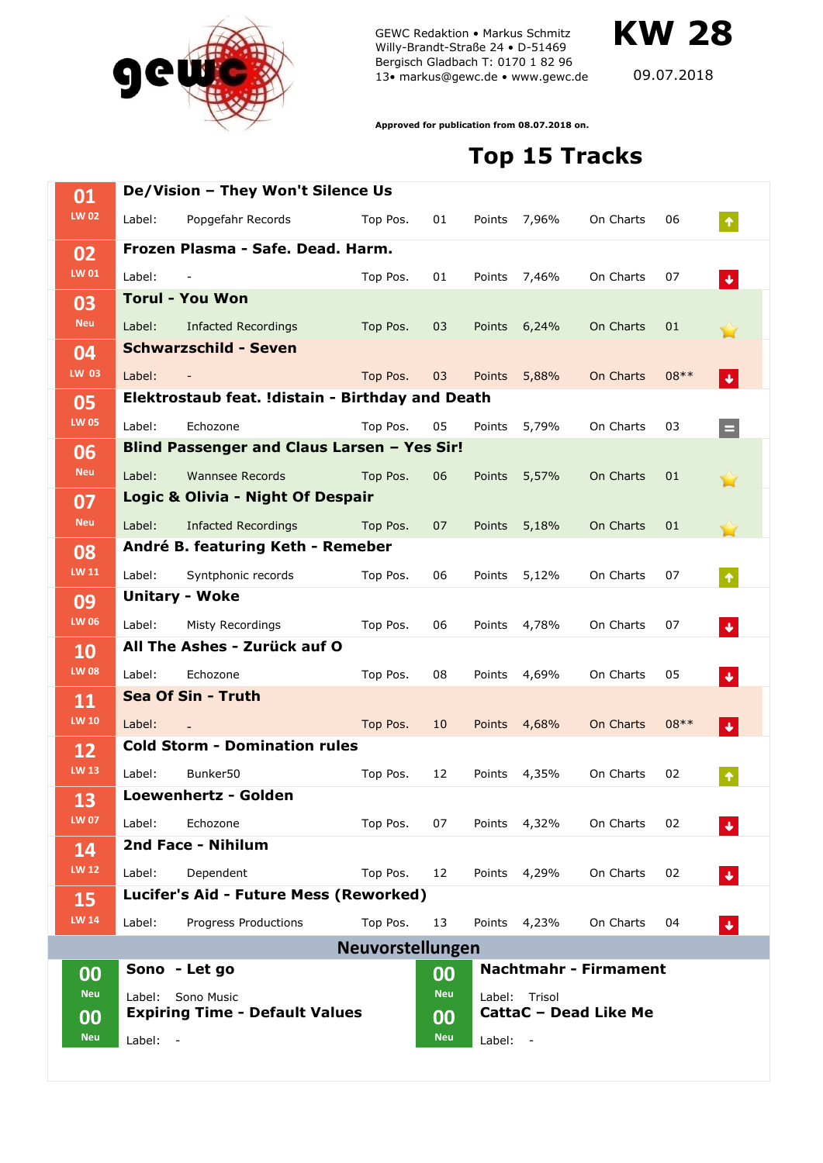

GEWC Redaktion • Markus Schmitz Willy-Brandt-Straße 24 • D-51469 Bergisch Gladbach T: 0170 1 82 96 13• markus@gewc.de • www.gewc.de **KW 28**

09.07.2018

**Approved for publication from 08.07.2018 on.**

## **Top 15 Tracks**

| 01               | De/Vision - They Won't Silence Us                  |                                   |                  |            |                              |              |           |        |                             |  |
|------------------|----------------------------------------------------|-----------------------------------|------------------|------------|------------------------------|--------------|-----------|--------|-----------------------------|--|
| <b>LW 02</b>     | Label:                                             | Popgefahr Records                 | Top Pos.         | 01         | Points                       | 7,96%        | On Charts | 06     | $\blacklozenge$             |  |
| 02               | Frozen Plasma - Safe. Dead. Harm.                  |                                   |                  |            |                              |              |           |        |                             |  |
| LW 01            | Label:                                             |                                   | Top Pos.         | 01         |                              | Points 7,46% | On Charts | 07     | $\blacklozenge$             |  |
| 03               |                                                    | <b>Torul - You Won</b>            |                  |            |                              |              |           |        |                             |  |
| <b>Neu</b>       | Label:                                             | <b>Infacted Recordings</b>        | Top Pos.         | 03         | Points                       | 6,24%        | On Charts | 01     | $\blacksquare$              |  |
| 04               |                                                    | <b>Schwarzschild - Seven</b>      |                  |            |                              |              |           |        |                             |  |
| LW 03            | Label:                                             |                                   | Top Pos.         | 03         | Points                       | 5,88%        | On Charts | $08**$ | $\left  \downarrow \right $ |  |
| 05               | Elektrostaub feat. ! distain - Birthday and Death  |                                   |                  |            |                              |              |           |        |                             |  |
| <b>LW 05</b>     | Label:                                             | Echozone                          | Top Pos.         | 05         | Points                       | 5,79%        | On Charts | 03     | $\equiv$                    |  |
| 06               | <b>Blind Passenger and Claus Larsen - Yes Sir!</b> |                                   |                  |            |                              |              |           |        |                             |  |
| <b>Neu</b><br>07 | Label:                                             | <b>Wannsee Records</b>            | Top Pos.         | 06         | Points                       | 5,57%        | On Charts | 01     | $\blacksquare$              |  |
|                  |                                                    | Logic & Olivia - Night Of Despair |                  |            |                              |              |           |        |                             |  |
| <b>Neu</b>       | Label:                                             | <b>Infacted Recordings</b>        | Top Pos.         | 07         | Points                       | 5,18%        | On Charts | 01     |                             |  |
| 08               |                                                    | André B. featuring Keth - Remeber |                  |            |                              |              |           |        |                             |  |
| LW 11            | Label:                                             | Syntphonic records                | Top Pos.         | 06         | Points                       | 5,12%        | On Charts | 07     | $\blacklozenge$             |  |
| 09               | <b>Unitary - Woke</b>                              |                                   |                  |            |                              |              |           |        |                             |  |
| <b>LW 06</b>     | Label:                                             | Misty Recordings                  | Top Pos.         | 06         | Points                       | 4,78%        | On Charts | 07     | $\blacklozenge$             |  |
| 10               |                                                    | All The Ashes - Zurück auf O      |                  |            |                              |              |           |        |                             |  |
| <b>LW 08</b>     | Label:                                             | Echozone                          | Top Pos.         | 08         | Points                       | 4,69%        | On Charts | 05     | $\blacklozenge$             |  |
| 11               |                                                    | Sea Of Sin - Truth                |                  |            |                              |              |           |        |                             |  |
| <b>LW 10</b>     | Label:                                             |                                   | Top Pos.         | 10         |                              | Points 4,68% | On Charts | $08**$ | $ \downarrow $              |  |
| 12               | <b>Cold Storm - Domination rules</b>               |                                   |                  |            |                              |              |           |        |                             |  |
| <b>LW 13</b>     | Label:                                             | Bunker50                          | Top Pos.         | 12         | Points                       | 4,35%        | On Charts | 02     | $\blacklozenge$             |  |
| 13               |                                                    | Loewenhertz - Golden              |                  |            |                              |              |           |        |                             |  |
| <b>LW 07</b>     | Label:                                             | Echozone                          | Top Pos.         | 07         |                              | Points 4,32% | On Charts | 02     |                             |  |
| 14               |                                                    | 2nd Face - Nihilum                |                  |            |                              |              |           |        |                             |  |
| <b>LW 12</b>     | Label:                                             | Dependent                         | Top Pos.         | 12         |                              | Points 4,29% | On Charts | 02     |                             |  |
| 15               | Lucifer's Aid - Future Mess (Reworked)             |                                   |                  |            |                              |              |           |        |                             |  |
| <b>LW 14</b>     | Label:                                             | Progress Productions              | Top Pos.         | 13         |                              | Points 4,23% | On Charts | 04     | $\blacklozenge$             |  |
|                  |                                                    |                                   | Neuvorstellungen |            |                              |              |           |        |                             |  |
| 00               | Sono - Let go                                      |                                   |                  | 00         | <b>Nachtmahr - Firmament</b> |              |           |        |                             |  |
| <b>Neu</b>       | Label:<br>Sono Music                               |                                   |                  | <b>Neu</b> | Label: Trisol                |              |           |        |                             |  |
| 00               | <b>Expiring Time - Default Values</b>              |                                   |                  | 00         | <b>CattaC - Dead Like Me</b> |              |           |        |                             |  |
| <b>Neu</b>       | Label: -                                           |                                   |                  | <b>Neu</b> | Label:                       | $\sim$ $-$   |           |        |                             |  |
|                  |                                                    |                                   |                  |            |                              |              |           |        |                             |  |